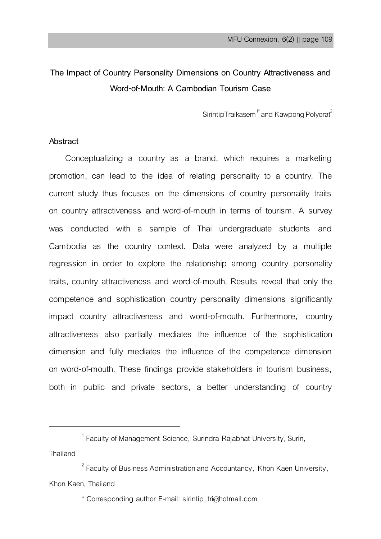# **The Impact of Country Personality Dimensions on Country Attractiveness and Word-of-Mouth: A Cambodian Tourism Case**

SirintipTraikasem $^{\uparrow}$ and Kawpong Polyorat $^2$ 

# **Abstract**

Conceptualizing a country as a brand, which requires a marketing promotion, can lead to the idea of relating personality to a country. The current study thus focuses on the dimensions of country personality traits on country attractiveness and word-of-mouth in terms of tourism. A survey was conducted with a sample of Thai undergraduate students and Cambodia as the country context. Data were analyzed by a multiple regression in order to explore the relationship among country personality traits, country attractiveness and word-of-mouth. Results reveal that only the competence and sophistication country personality dimensions significantly impact country attractiveness and word-of-mouth. Furthermore*,* country attractiveness also partially mediates the influence of the sophistication dimension and fully mediates the influence of the competence dimension on word-of-mouth. These findings provide stakeholders in tourism business, both in public and private sectors, a better understanding of country

Thailand

 $\overline{a}$ 

 $1$  Faculty of Management Science, Surindra Rajabhat University, Surin,

 $^2$  Faculty of Business Administration and Accountancy, Khon Kaen University, Khon Kaen, Thailand

<sup>\*</sup> Corresponding author E-mail: sirintip\_tri@hotmail.com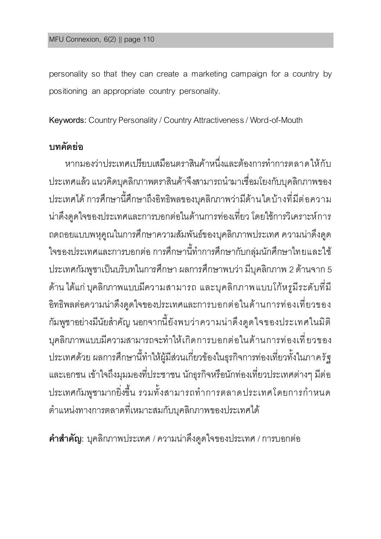personality so that they can create a marketing campaign for a country by positioning an appropriate country personality.

**Keywords:** Country Personality / Country Attractiveness / Word-of-Mouth

# **บทคัดย่อ**

หากมองว่าประเทศเปรียบเสมือนตราสินค้าหนึ่งและต้องการทำการตลาดให้กับ ประเทศแล้ว แนวคิดบคลิกภาพตราสินค้าจึงสามารถนำมาเชื่อมโยงกับบคลิกภาพของ ประเทศได้ การศึกษานี้ศึกษาถึงอิทธิพลของบุคลิกภาพว่ามีด้านใดบ้างที่มีต่อความ น่าดึงดูดใจของประเทศและการบอกต่อในด้านการท่องเที่ยว โดยใช้การวิเคราะห์การ ถดถอยแบบพหุคูณในการศึกษาความสัมพันธ์ของบุคลิกภาพประเทศ ความน่าดึงดูด ใจของประเทศและการบอกต่อ การศึกษานี้ทำการศึกษากับกลุ่มนักศึกษาไทยและใช้ ประเทศกัมพูชาเป็นบริบทในการศึกษา ผลการศึกษาพบว่า มีบุคลิกภาพ 2 ด้านจาก 5 ด้าน ได้แก่ บุคลิกภาพแบบมีความสามารถ และบุคลิกภาพแบบโก้หรมีระดับที่มี อิทธิพลต่อความน่าดึงดูดใจของประเทศและการบอกต่อในด้านการท่องเที่ยวของ กัมพูชาอย่างมีนัยสำคัญ นอกจากนี้ยังพบว่าความน่าดึงดูดใจของประเทศในมิติ บุคลิกภาพแบบมีความสามารถจะท าให้เกิดการบอกต่อในด้านการท่องเที่ยวของ ประเทศด้วย ผลการศึกษานี้ทำให้ผู้มีส่วนเกี่ยวข้องในธุรกิจการท่องเที่ยวทั้งในภาครัฐ และเอกชน เข้าใจถึงมุมมองที่ประชาชน นักธุรกิจหรือนักท่องเที่ยวประเทศต่างๆ มีต่อ ประเทศกัมพูชามากยิ่งขึ้น รวมทั้งสามารถทำการตลาดประเทศโดยการกำหนด ต าแหน่งทางการตลาดที่เหมาะสมกับบุคลิกภาพของประเทศได้

**ค ำส ำคัญ:** บุคลิกภาพประเทศ / ความน่าดึงดูดใจของประเทศ / การบอกต่อ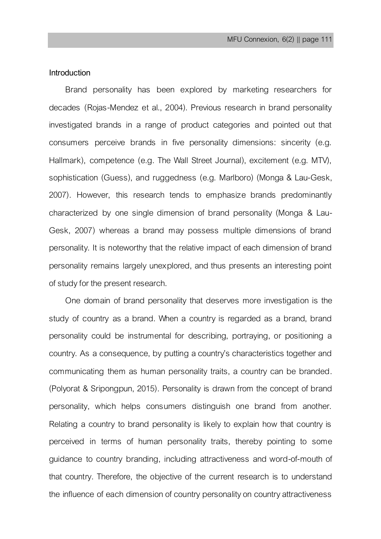# **Introduction**

Brand personality has been explored by marketing researchers for decades (Rojas-Mendez et al., 2004). Previous research in brand personality investigated brands in a range of product categories and pointed out that consumers perceive brands in five personality dimensions: sincerity (e.g. Hallmark), competence (e.g. The Wall Street Journal), excitement (e.g. MTV), sophistication (Guess), and ruggedness (e.g. Marlboro) (Monga & Lau-Gesk, 2007). However, this research tends to emphasize brands predominantly characterized by one single dimension of brand personality (Monga & Lau-Gesk, 2007) whereas a brand may possess multiple dimensions of brand personality. It is noteworthy that the relative impact of each dimension of brand personality remains largely unexplored, and thus presents an interesting point of study for the present research.

One domain of brand personality that deserves more investigation is the study of country as a brand. When a country is regarded as a brand, brand personality could be instrumental for describing, portraying, or positioning a country. As a consequence, by putting a country's characteristics together and communicating them as human personality traits, a country can be branded. (Polyorat & Sripongpun, 2015). Personality is drawn from the concept of brand personality, which helps consumers distinguish one brand from another. Relating a country to brand personality is likely to explain how that country is perceived in terms of human personality traits, thereby pointing to some guidance to country branding, including attractiveness and word-of-mouth of that country. Therefore, the objective of the current research is to understand the influence of each dimension of country personality on country attractiveness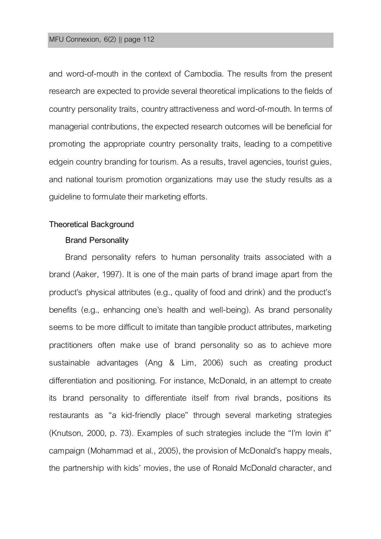### MFU Connexion, 6(2) || page 112

and word-of-mouth in the context of Cambodia. The results from the present research are expected to provide several theoretical implications to the fields of country personality traits, country attractiveness and word-of-mouth. In terms of managerial contributions, the expected research outcomes will be beneficial for promoting the appropriate country personality traits, leading to a competitive edgein country branding for tourism. As a results, travel agencies, tourist guies, and national tourism promotion organizations may use the study results as a guideline to formulate their marketing efforts.

### **Theoretical Background**

### **Brand Personality**

Brand personality refers to human personality traits associated with a brand (Aaker, 1997). It is one of the main parts of brand image apart from the product's physical attributes (e.g., quality of food and drink) and the product's benefits (e.g., enhancing one's health and well-being). As brand personality seems to be more difficult to imitate than tangible product attributes, marketing practitioners often make use of brand personality so as to achieve more sustainable advantages (Ang & Lim, 2006) such as creating product differentiation and positioning. For instance, McDonald, in an attempt to create its brand personality to differentiate itself from rival brands, positions its restaurants as "a kid-friendly place" through several marketing strategies (Knutson, 2000, p. 73). Examples of such strategies include the "I'm lovin it" campaign (Mohammad et al., 2005), the provision of McDonald's happy meals, the partnership with kids' movies, the use of Ronald McDonald character, and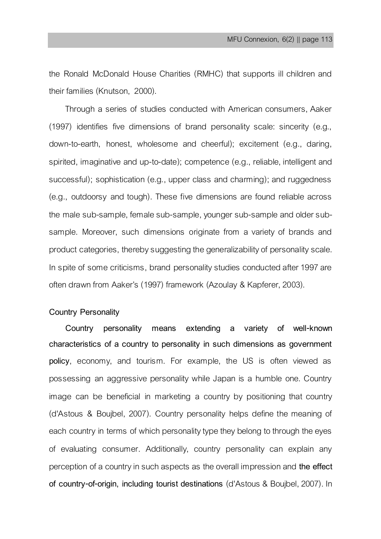the Ronald McDonald House Charities (RMHC) that supports ill children and their families (Knutson, 2000).

Through a series of studies conducted with American consumers, Aaker (1997) identifies five dimensions of brand personality scale: sincerity (e.g., down-to-earth, honest, wholesome and cheerful); excitement (e.g., daring, spirited, imaginative and up-to-date); competence (e.g., reliable, intelligent and successful); sophistication (e.g., upper class and charming); and ruggedness (e.g., outdoorsy and tough). These five dimensions are found reliable across the male sub-sample, female sub-sample, younger sub-sample and older subsample. Moreover, such dimensions originate from a variety of brands and product categories, thereby suggesting the generalizability of personality scale. In spite of some criticisms, brand personality studies conducted after 1997 are often drawn from Aaker's (1997) framework (Azoulay & Kapferer, 2003).

# **Country Personality**

**Country personality means extending a variety of well-known characteristics of a country to personality in such dimensions as government policy**, economy, and tourism. For example, the US is often viewed as possessing an aggressive personality while Japan is a humble one. Country image can be beneficial in marketing a country by positioning that country (d'Astous & Boujbel, 2007). Country personality helps define the meaning of each country in terms of which personality type they belong to through the eyes of evaluating consumer. Additionally, country personality can explain any perception of a country in such aspects as the overall impression and **the effect of country-of-origin, including tourist destinations** (d'Astous & Boujbel, 2007). In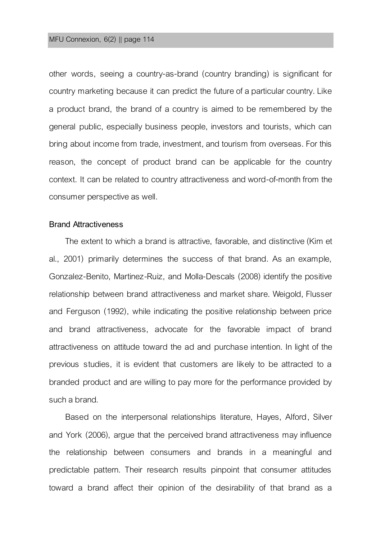### MFU Connexion, 6(2) || page 114

other words, seeing a country-as-brand (country branding) is significant for country marketing because it can predict the future of a particular country. Like a product brand, the brand of a country is aimed to be remembered by the general public, especially business people, investors and tourists, which can bring about income from trade, investment, and tourism from overseas. For this reason, the concept of product brand can be applicable for the country context. It can be related to country attractiveness and word-of-month from the consumer perspective as well.

### **Brand Attractiveness**

The extent to which a brand is attractive, favorable, and distinctive (Kim et al., 2001) primarily determines the success of that brand. As an example, Gonzalez-Benito, Martinez-Ruiz, and Molla-Descals (2008) identify the positive relationship between brand attractiveness and market share. Weigold, Flusser and Ferguson (1992), while indicating the positive relationship between price and brand attractiveness, advocate for the favorable impact of brand attractiveness on attitude toward the ad and purchase intention. In light of the previous studies, it is evident that customers are likely to be attracted to a branded product and are willing to pay more for the performance provided by such a brand.

Based on the interpersonal relationships literature, Hayes, Alford, Silver and York (2006), argue that the perceived brand attractiveness may influence the relationship between consumers and brands in a meaningful and predictable pattern. Their research results pinpoint that consumer attitudes toward a brand affect their opinion of the desirability of that brand as a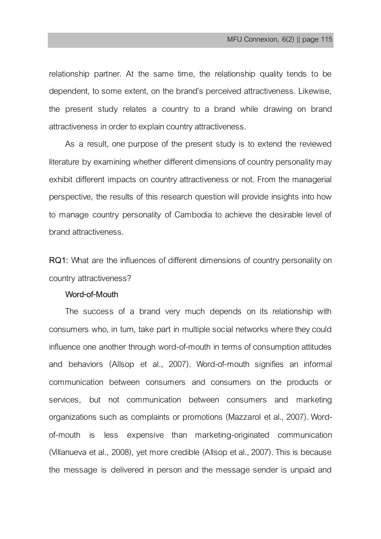relationship partner. At the same time, the relationship quality tends to be dependent, to some extent, on the brand's perceived attractiveness. Likewise, the present study relates a country to a brand while drawing on brand attractiveness in order to explain country attractiveness.

As a result, one purpose of the present study is to extend the reviewed literature by examining whether different dimensions of country personality may exhibit different impacts on country attractiveness or not. From the managerial perspective, the results of this research question will provide insights into how to manage country personality of Cambodia to achieve the desirable level of brand attractiveness.

**RQ1:** What are the influences of different dimensions of country personality on country attractiveness?

# **Word-of-Mouth**

The success of a brand very much depends on its relationship with consumers who, in turn, take part in multiple social networks where they could influence one another through word-of-mouth in terms of consumption attitudes and behaviors (Allsop et al., 2007). Word-of-mouth signifies an informal communication between consumers and consumers on the products or services, but not communication between consumers and marketing organizations such as complaints or promotions (Mazzarol et al., 2007). Wordof-mouth is less expensive than marketing-originated communication (Villanueva et al., 2008), yet more credible (Allsop et al., 2007). This is because the message is delivered in person and the message sender is unpaid and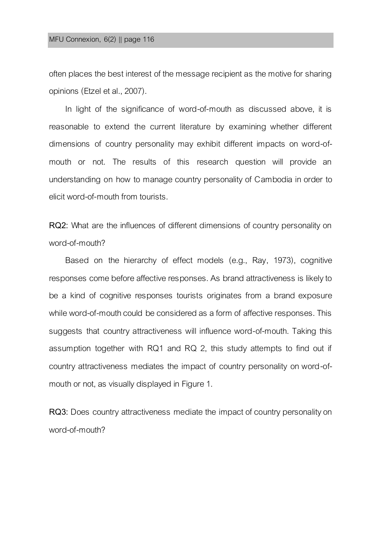often places the best interest of the message recipient as the motive for sharing opinions (Etzel et al., 2007).

In light of the significance of word-of-mouth as discussed above, it is reasonable to extend the current literature by examining whether different dimensions of country personality may exhibit different impacts on word-ofmouth or not. The results of this research question will provide an understanding on how to manage country personality of Cambodia in order to elicit word-of-mouth from tourists.

**RQ2:** What are the influences of different dimensions of country personality on word-of-mouth?

Based on the hierarchy of effect models (e.g., Ray, 1973), cognitive responses come before affective responses. As brand attractiveness is likely to be a kind of cognitive responses tourists originates from a brand exposure while word-of-mouth could be considered as a form of affective responses. This suggests that country attractiveness will influence word-of-mouth. Taking this assumption together with RQ1 and RQ 2, this study attempts to find out if country attractiveness mediates the impact of country personality on word-ofmouth or not, as visually displayed in Figure 1.

**RQ3:** Does country attractiveness mediate the impact of country personality on word-of-mouth?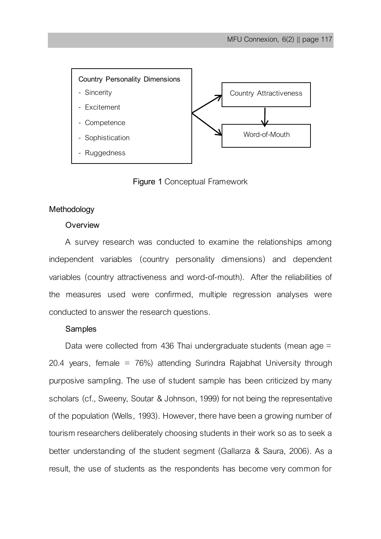

**Figure 1** Conceptual Framework

# **Methodology**

# **Overview**

A survey research was conducted to examine the relationships among independent variables (country personality dimensions) and dependent variables (country attractiveness and word-of-mouth). After the reliabilities of the measures used were confirmed, multiple regression analyses were conducted to answer the research questions.

# **Samples**

Data were collected from 436 Thai undergraduate students (mean age = 20.4 years, female = 76%) attending Surindra Rajabhat University through purposive sampling. The use of student sample has been criticized by many scholars (cf., Sweeny, Soutar & Johnson, 1999) for not being the representative of the population (Wells, 1993). However, there have been a growing number of tourism researchers deliberately choosing students in their work so as to seek a better understanding of the student segment (Gallarza & Saura, 2006). As a result, the use of students as the respondents has become very common for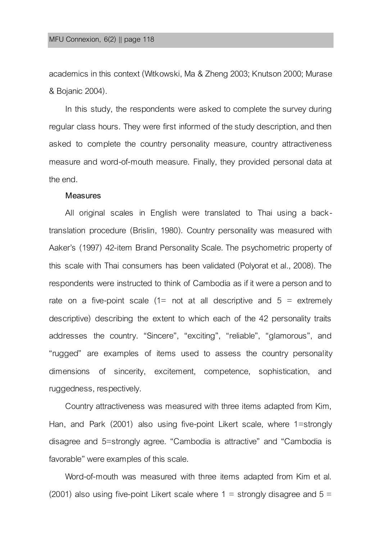academics in this context (Witkowski, Ma & Zheng 2003; Knutson 2000; Murase & Bojanic 2004).

In this study, the respondents were asked to complete the survey during regular class hours. They were first informed of the study description, and then asked to complete the country personality measure, country attractiveness measure and word-of-mouth measure. Finally, they provided personal data at the end.

#### **Measures**

All original scales in English were translated to Thai using a backtranslation procedure (Brislin, 1980). Country personality was measured with Aaker's (1997) 42-item Brand Personality Scale. The psychometric property of this scale with Thai consumers has been validated (Polyorat et al., 2008). The respondents were instructed to think of Cambodia as if it were a person and to rate on a five-point scale  $(1=$  not at all descriptive and  $5 =$  extremely descriptive) describing the extent to which each of the 42 personality traits addresses the country. "Sincere", "exciting", "reliable", "glamorous", and "rugged" are examples of items used to assess the country personality dimensions of sincerity, excitement, competence, sophistication, and ruggedness, respectively.

Country attractiveness was measured with three items adapted from Kim, Han, and Park (2001) also using five-point Likert scale, where 1=strongly disagree and 5=strongly agree. "Cambodia is attractive" and "Cambodia is favorable" were examples of this scale.

Word-of-mouth was measured with three items adapted from Kim et al. (2001) also using five-point Likert scale where  $1 =$  strongly disagree and  $5 =$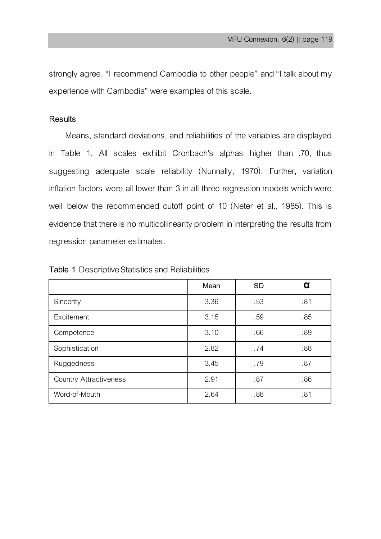strongly agree. "I recommend Cambodia to other people" and "I talk about my experience with Cambodia" were examples of this scale.

# **Results**

Means, standard deviations, and reliabilities of the variables are displayed in Table 1. All scales exhibit Cronbach's alphas higher than .70, thus suggesting adequate scale reliability (Nunnally, 1970). Further, variation inflation factors were all lower than 3 in all three regression models which were well below the recommended cutoff point of 10 (Neter et al., 1985). This is evidence that there is no multicollinearity problem in interpreting the results from regression parameter estimates.

|                               | Mean | <b>SD</b> | α   |
|-------------------------------|------|-----------|-----|
| Sincerity                     | 3.36 | .53       | .81 |
| <b>Fxcitement</b>             | 3.15 | .59       | .85 |
| Competence                    | 3.10 | .66       | .89 |
| Sophistication                | 2.82 | .74       | .88 |
| Ruggedness                    | 3.45 | .79       | .87 |
| <b>Country Attractiveness</b> | 2.91 | .87       | .86 |
| Word-of-Mouth                 | 2.64 | .88       | .81 |

**Table 1** Descriptive Statistics and Reliabilities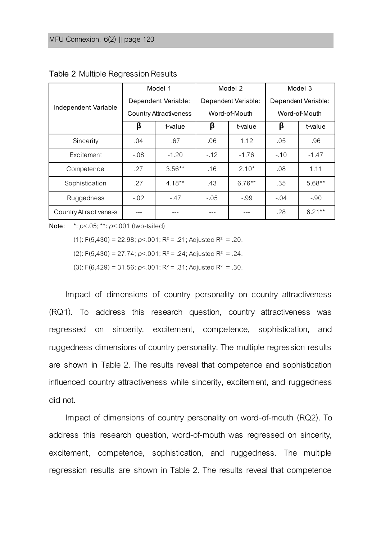|                               | Model 1                       |           | Model 2             |           | Model 3             |          |
|-------------------------------|-------------------------------|-----------|---------------------|-----------|---------------------|----------|
| Independent Variable          | Dependent Variable:           |           | Dependent Variable: |           | Dependent Variable: |          |
|                               | <b>Country Attractiveness</b> |           | Word-of-Mouth       |           | Word-of-Mouth       |          |
|                               | β                             | t-value   | β                   | t-value   | β                   | t-value  |
| Sincerity                     | .04                           | .67       | .06                 | 1.12      | .05                 | .96      |
| <b>Excitement</b>             | $-0.08$                       | $-1.20$   | $-12$               | $-1.76$   | $-.10$              | $-1.47$  |
| Competence                    | .27                           | $3.56**$  | .16                 | $2.10*$   | .08                 | 1.11     |
| Sophistication                | .27                           | $4.18***$ | .43                 | $6.76***$ | .35                 | $5.68**$ |
| Ruggedness                    | $-0.02$                       | $-47$     | $-.05$              | $-.99$    | $-.04$              | $-.90$   |
| <b>Country Attractiveness</b> | ---                           | ---       | ---                 | ---       | .28                 | $6.21**$ |

**Table 2** Multiple Regression Results

**Note:** \*: *p*<.05; \*\*: *p*<.001 (two-tailed)

(1):  $F(5,430) = 22.98$ ;  $p<.001$ ;  $R^2 = .21$ ; Adjusted  $R^2 = .20$ .

(2):  $F(5,430) = 27.74$ ;  $p < .001$ ;  $R^2 = .24$ ; Adjusted  $R^2 = .24$ .

(3):  $F(6.429) = 31.56$ ;  $p < .001$ ;  $R^2 = .31$ ; Adjusted  $R^2 = .30$ .

Impact of dimensions of country personality on country attractiveness (RQ1). To address this research question, country attractiveness was regressed on sincerity, excitement, competence, sophistication, and ruggedness dimensions of country personality. The multiple regression results are shown in Table 2. The results reveal that competence and sophistication influenced country attractiveness while sincerity, excitement, and ruggedness did not.

Impact of dimensions of country personality on word-of-mouth (RQ2). To address this research question, word-of-mouth was regressed on sincerity, excitement, competence, sophistication, and ruggedness. The multiple regression results are shown in Table 2. The results reveal that competence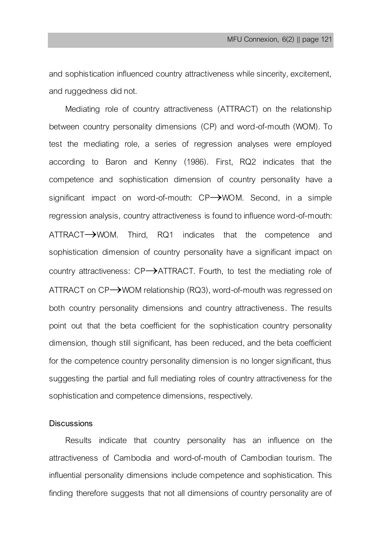and sophistication influenced country attractiveness while sincerity, excitement, and ruggedness did not.

Mediating role of country attractiveness (ATTRACT) on the relationship between country personality dimensions (CP) and word-of-mouth (WOM). To test the mediating role, a series of regression analyses were employed according to Baron and Kenny (1986). First, RQ2 indicates that the competence and sophistication dimension of country personality have a significant impact on word-of-mouth:  $CP \rightarrow WOM$ . Second, in a simple regression analysis, country attractiveness is found to influence word-of-mouth:  $ATTRACT \rightarrow WOM$ . Third, RQ1 indicates that the competence and sophistication dimension of country personality have a significant impact on country attractiveness:  $CP \rightarrow$ ATTRACT. Fourth, to test the mediating role of ATTRACT on  $CP \rightarrow WOM$  relationship (RQ3), word-of-mouth was regressed on both country personality dimensions and country attractiveness. The results point out that the beta coefficient for the sophistication country personality dimension, though still significant, has been reduced, and the beta coefficient for the competence country personality dimension is no longer significant, thus suggesting the partial and full mediating roles of country attractiveness for the sophistication and competence dimensions, respectively.

# **Discussions**

Results indicate that country personality has an influence on the attractiveness of Cambodia and word-of-mouth of Cambodian tourism. The influential personality dimensions include competence and sophistication. This finding therefore suggests that not all dimensions of country personality are of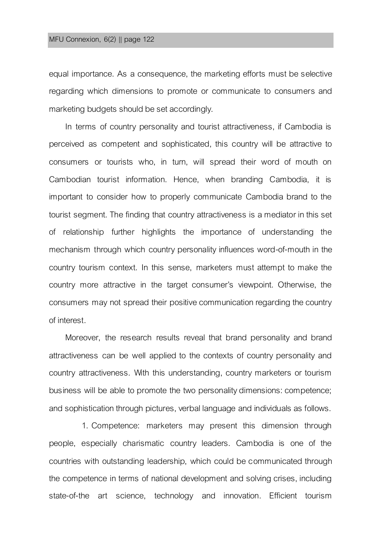### MFU Connexion, 6(2) || page 122

equal importance. As a consequence, the marketing efforts must be selective regarding which dimensions to promote or communicate to consumers and marketing budgets should be set accordingly.

In terms of country personality and tourist attractiveness, if Cambodia is perceived as competent and sophisticated, this country will be attractive to consumers or tourists who, in turn, will spread their word of mouth on Cambodian tourist information. Hence, when branding Cambodia, it is important to consider how to properly communicate Cambodia brand to the tourist segment. The finding that country attractiveness is a mediator in this set of relationship further highlights the importance of understanding the mechanism through which country personality influences word-of-mouth in the country tourism context. In this sense, marketers must attempt to make the country more attractive in the target consumer's viewpoint. Otherwise, the consumers may not spread their positive communication regarding the country of interest.

Moreover, the research results reveal that brand personality and brand attractiveness can be well applied to the contexts of country personality and country attractiveness. With this understanding, country marketers or tourism business will be able to promote the two personality dimensions: competence; and sophistication through pictures, verbal language and individuals as follows.

1. Competence: marketers may present this dimension through people, especially charismatic country leaders. Cambodia is one of the countries with outstanding leadership, which could be communicated through the competence in terms of national development and solving crises, including state-of-the art science, technology and innovation. Efficient tourism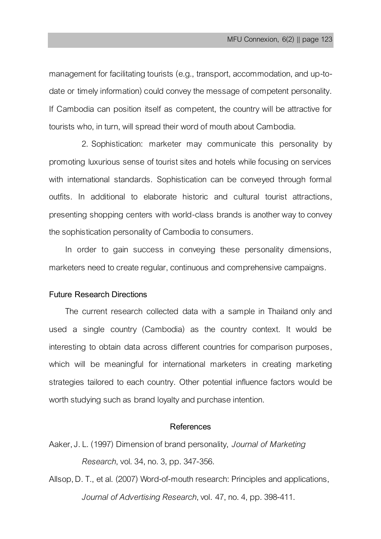management for facilitating tourists (e.g., transport, accommodation, and up-todate or timely information) could convey the message of competent personality. If Cambodia can position itself as competent, the country will be attractive for tourists who, in turn, will spread their word of mouth about Cambodia.

2. Sophistication: marketer may communicate this personality by promoting luxurious sense of tourist sites and hotels while focusing on services with international standards. Sophistication can be conveyed through formal outfits. In additional to elaborate historic and cultural tourist attractions, presenting shopping centers with world-class brands is another way to convey the sophistication personality of Cambodia to consumers.

In order to gain success in conveying these personality dimensions, marketers need to create regular, continuous and comprehensive campaigns.

# **Future Research Directions**

The current research collected data with a sample in Thailand only and used a single country (Cambodia) as the country context. It would be interesting to obtain data across different countries for comparison purposes, which will be meaningful for international marketers in creating marketing strategies tailored to each country. Other potential influence factors would be worth studying such as brand loyalty and purchase intention.

# **References**

Aaker, J. L. (1997) Dimensionof brand personality, *Journal of Marketing Research*, vol. 34, no. 3, pp. 347-356.

Allsop, D.T., et al. (2007) Word-of-mouth research: Principles and applications, *Journal of Advertising Research*,vol. 47, no. 4, pp. 398-411.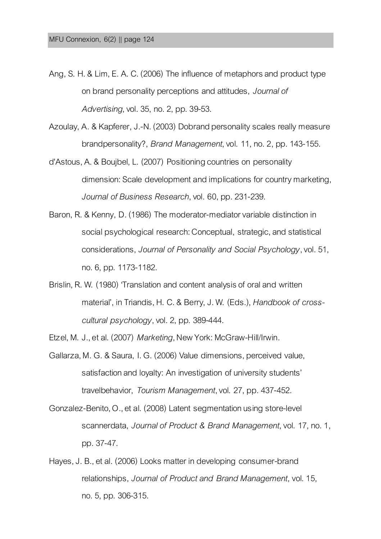- Ang, S. H. & Lim, E. A. C. (2006) The influence of metaphors and product type on brand personality perceptions and attitudes, *Journal of Advertising*, vol. 35, no. 2, pp. 39-53.
- Azoulay, A. & Kapferer, J.-N. (2003) Dobrand personality scales really measure brandpersonality?, *Brand Management*, vol. 11, no. 2, pp. 143-155.
- d'Astous, A. & Boujbel, L. (2007) Positioning countries on personality dimension: Scale development and implications for country marketing, Journal of Business Research, vol. 60, pp. 231-239.
- Baron, R. & Kenny, D. (1986) The moderator-mediator variable distinction in social psychological research: Conceptual, strategic, and statistical considerations, *Journal of Personality and Social Psychology*, vol. 51, no. 6, pp.1173-1182.
- Brislin, R. W. (1980) 'Translation and content analysis of oral and written material', in Triandis, H. C. & Berry, J.W. (Eds.), *Handbook of crosscultural psychology*,vol.2, pp. 389-444.
- Etzel, M. J., et al. (2007) *Marketing*, New York: McGraw-Hill/Irwin.
- Gallarza, M. G. & Saura, I.G. (2006) Value dimensions, perceived value, satisfaction and loyalty: An investigation of university students' travelbehavior, *Tourism Management*, vol. 27, pp. 437-452.
- Gonzalez-Benito, O., et al. (2008) Latent segmentation using store-level scannerdata, *Journal of Product & Brand Management*,vol. 17, no. 1, pp. 37-47.
- Hayes, J. B., et al. (2006) Looks matter in developing consumer-brand relationships, *Journal of Product and Brand Management*, vol. 15, no. 5, pp. 306-315.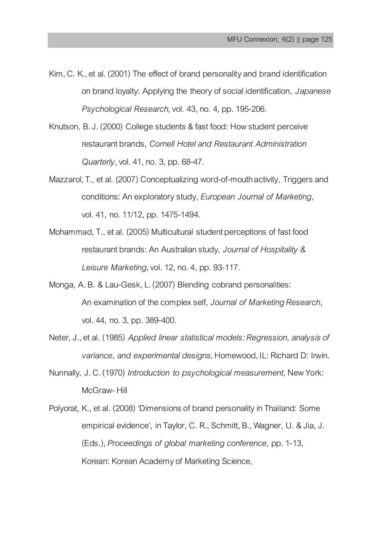- Kim, C. K., et al. (2001) The effect of brand personality and brand identification on brand loyalty: Applying the theory of social identification, *Japanese Psychological Research*, vol. 43,no.4, pp. 195-206.
- Knutson, B.J. (2000) College students & fast food: How student perceive restaurant brands, *Cornell Hotel and Restaurant Administration Quarterly*, vol. 41, no. 3, pp. 68-47.
- Mazzarol, T., et al. (2007) Conceptualizing word-of-mouth activity, Triggers and conditions: An exploratory study*, European Journal of Marketing*, vol. 41, no. 11/12, pp. 1475-1494.
- Mohammad, T., et al. (2005) Multicultural student perceptions of fast food restaurant brands: An Australian study, *Journal of Hospitality & Leisure Marketing*, vol. 12,no.4, pp. 93-117.
- Monga, A. B. & Lau-Gesk, L. (2007) Blending cobrand personalities: An examination of the complex self, *Journal of Marketing Research*, vol. 44, no.3, pp. 389-400.
- Neter, J., et al. (1985) *Applied linear statistical models: Regression, analysis of variance, and experimental designs*, Homewood, IL: Richard D: Irwin.
- Nunnally, J. C. (1970) *Introduction to psychological measurement,* New York: McGraw- Hill
- Polyorat, K., et al. (2008) 'Dimensions of brand personality in Thailand: Some empirical evidence', in Taylor, C. R., Schmitt, B., Wagner, U. & Jia, J. (Eds.), *Proceedings of global marketing conference*, pp. 1-13, Korean: Korean Academy of Marketing Science,